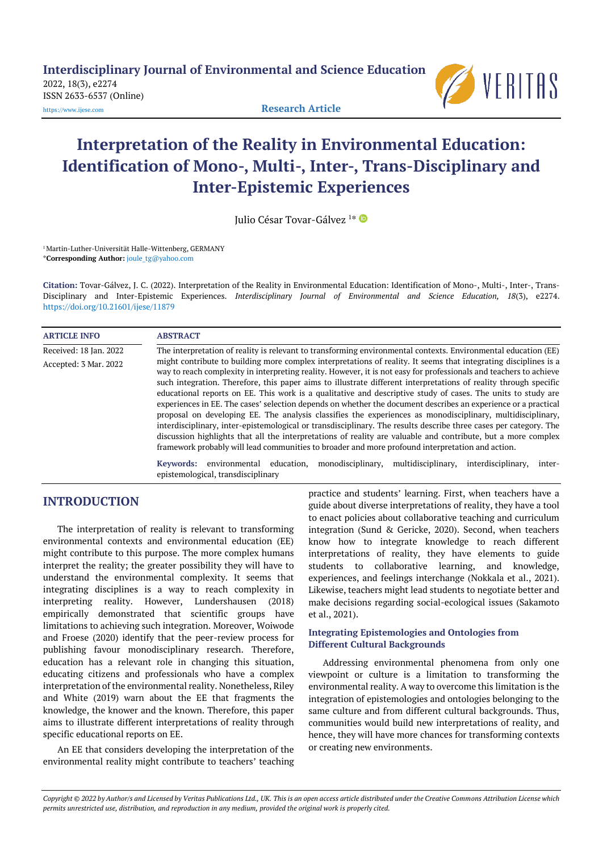**Interdisciplinary Journal of Environmental and Science Education**

2022, 18(3), e2274 ISSN 2633-6537 (Online)



[https://www.ijese.com](https://www.ijese.com/) **Research Article**

# **Interpretation of the Reality in Environmental Education: Identification of Mono-, Multi-, Inter-, Trans-Disciplinary and Inter-Epistemic Experiences**

Julio César Tovar-Gálvez <sup>1</sup> \*

<sup>1</sup> Martin-Luther-Universität Halle-Wittenberg, GERMANY \***Corresponding Author:** [joule\\_tg@yahoo.com](mailto:joule_tg@yahoo.com)

**Citation:** Tovar-Gálvez, J. C. (2022). Interpretation of the Reality in Environmental Education: Identification of Mono-, Multi-, Inter-, Trans-Disciplinary and Inter-Epistemic Experiences. *Interdisciplinary Journal of Environmental and Science Education, 18*(3), e2274. <https://doi.org/10.21601/ijese/11879>

| <b>ARTICLE INFO</b>    | <b>ABSTRACT</b>                                                                                                                                                                                                                                                                                                                                                                                                                                                                                                                                                                                                                                                                                                                                                                                                                                                                                                                                                                                                                                      |
|------------------------|------------------------------------------------------------------------------------------------------------------------------------------------------------------------------------------------------------------------------------------------------------------------------------------------------------------------------------------------------------------------------------------------------------------------------------------------------------------------------------------------------------------------------------------------------------------------------------------------------------------------------------------------------------------------------------------------------------------------------------------------------------------------------------------------------------------------------------------------------------------------------------------------------------------------------------------------------------------------------------------------------------------------------------------------------|
| Received: 18 Jan. 2022 | The interpretation of reality is relevant to transforming environmental contexts. Environmental education (EE)                                                                                                                                                                                                                                                                                                                                                                                                                                                                                                                                                                                                                                                                                                                                                                                                                                                                                                                                       |
| Accepted: 3 Mar. 2022  | might contribute to building more complex interpretations of reality. It seems that integrating disciplines is a<br>way to reach complexity in interpreting reality. However, it is not easy for professionals and teachers to achieve<br>such integration. Therefore, this paper aims to illustrate different interpretations of reality through specific<br>educational reports on EE. This work is a qualitative and descriptive study of cases. The units to study are<br>experiences in EE. The cases' selection depends on whether the document describes an experience or a practical<br>proposal on developing EE. The analysis classifies the experiences as monodisciplinary, multidisciplinary,<br>interdisciplinary, inter-epistemological or transdisciplinary. The results describe three cases per category. The<br>discussion highlights that all the interpretations of reality are valuable and contribute, but a more complex<br>framework probably will lead communities to broader and more profound interpretation and action. |
|                        | monodisciplinary,<br>multidisciplinary,<br>environmental<br>education,<br>interdisciplinary,<br>Keywords:<br>inter-<br>epistemological, transdisciplinary                                                                                                                                                                                                                                                                                                                                                                                                                                                                                                                                                                                                                                                                                                                                                                                                                                                                                            |

## **INTRODUCTION**

The interpretation of reality is relevant to transforming environmental contexts and environmental education (EE) might contribute to this purpose. The more complex humans interpret the reality; the greater possibility they will have to understand the environmental complexity. It seems that integrating disciplines is a way to reach complexity in interpreting reality. However, Lundershausen (2018) empirically demonstrated that scientific groups have limitations to achieving such integration. Moreover, Woiwode and Froese (2020) identify that the peer-review process for publishing favour monodisciplinary research. Therefore, education has a relevant role in changing this situation, educating citizens and professionals who have a complex interpretation of the environmental reality. Nonetheless, Riley and White (2019) warn about the EE that fragments the knowledge, the knower and the known. Therefore, this paper aims to illustrate different interpretations of reality through specific educational reports on EE.

An EE that considers developing the interpretation of the environmental reality might contribute to teachers' teaching practice and students' learning. First, when teachers have a guide about diverse interpretations of reality, they have a tool to enact policies about collaborative teaching and curriculum integration (Sund & Gericke, 2020). Second, when teachers know how to integrate knowledge to reach different interpretations of reality, they have elements to guide students to collaborative learning, and knowledge, experiences, and feelings interchange (Nokkala et al., 2021). Likewise, teachers might lead students to negotiate better and make decisions regarding social-ecological issues (Sakamoto et al., 2021).

#### **Integrating Epistemologies and Ontologies from Different Cultural Backgrounds**

Addressing environmental phenomena from only one viewpoint or culture is a limitation to transforming the environmental reality. A way to overcome this limitation is the integration of epistemologies and ontologies belonging to the same culture and from different cultural backgrounds. Thus, communities would build new interpretations of reality, and hence, they will have more chances for transforming contexts or creating new environments.

*Copyright © 2022 by Author/s and Licensed by Veritas Publications Ltd., UK. This is an open access article distributed under the Creative Commons Attribution License which permits unrestricted use, distribution, and reproduction in any medium, provided the original work is properly cited.*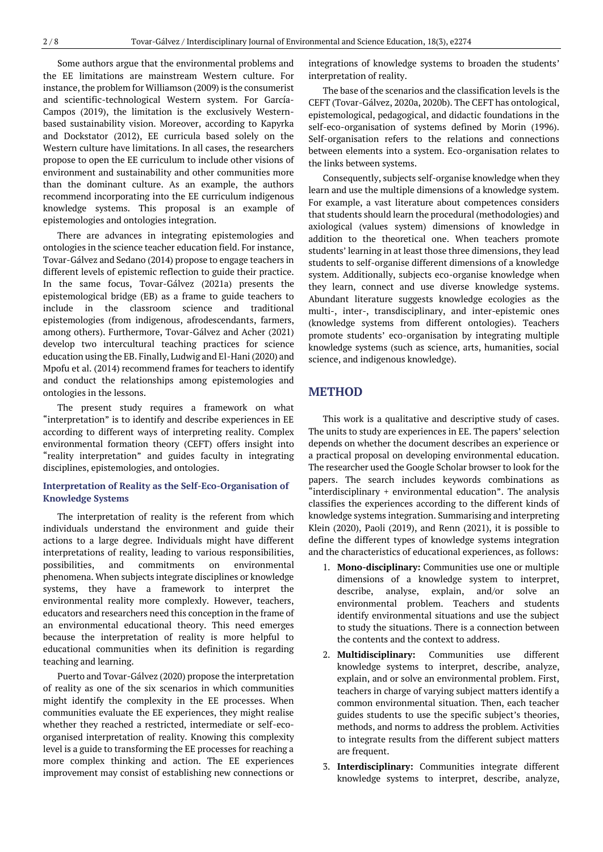Some authors argue that the environmental problems and the EE limitations are mainstream Western culture. For instance, the problem for Williamson (2009) is the consumerist and scientific-technological Western system. For García-Campos (2019), the limitation is the exclusively Westernbased sustainability vision. Moreover, according to Kapyrka and Dockstator (2012), EE curricula based solely on the Western culture have limitations. In all cases, the researchers propose to open the EE curriculum to include other visions of environment and sustainability and other communities more than the dominant culture. As an example, the authors recommend incorporating into the EE curriculum indigenous knowledge systems. This proposal is an example of epistemologies and ontologies integration.

There are advances in integrating epistemologies and ontologies in the science teacher education field. For instance, Tovar-Gálvez and Sedano (2014) propose to engage teachers in different levels of epistemic reflection to guide their practice. In the same focus, Tovar-Gálvez (2021a) presents the epistemological bridge (EB) as a frame to guide teachers to include in the classroom science and traditional epistemologies (from indigenous, afrodescendants, farmers, among others). Furthermore, Tovar-Gálvez and Acher (2021) develop two intercultural teaching practices for science education using the EB. Finally, Ludwig and El-Hani (2020) and Mpofu et al. (2014) recommend frames for teachers to identify and conduct the relationships among epistemologies and ontologies in the lessons.

The present study requires a framework on what "interpretation" is to identify and describe experiences in EE according to different ways of interpreting reality. Complex environmental formation theory (CEFT) offers insight into "reality interpretation" and guides faculty in integrating disciplines, epistemologies, and ontologies.

#### **Interpretation of Reality as the Self-Eco-Organisation of Knowledge Systems**

The interpretation of reality is the referent from which individuals understand the environment and guide their actions to a large degree. Individuals might have different interpretations of reality, leading to various responsibilities, possibilities, and commitments on environmental phenomena. When subjects integrate disciplines or knowledge systems, they have a framework to interpret the environmental reality more complexly. However, teachers, educators and researchers need this conception in the frame of an environmental educational theory. This need emerges because the interpretation of reality is more helpful to educational communities when its definition is regarding teaching and learning.

Puerto and Tovar-Gálvez (2020) propose the interpretation of reality as one of the six scenarios in which communities might identify the complexity in the EE processes. When communities evaluate the EE experiences, they might realise whether they reached a restricted, intermediate or self-ecoorganised interpretation of reality. Knowing this complexity level is a guide to transforming the EE processes for reaching a more complex thinking and action. The EE experiences improvement may consist of establishing new connections or

integrations of knowledge systems to broaden the students' interpretation of reality.

The base of the scenarios and the classification levels is the CEFT (Tovar-Gálvez, 2020a, 2020b). The CEFT has ontological, epistemological, pedagogical, and didactic foundations in the self-eco-organisation of systems defined by Morin (1996). Self-organisation refers to the relations and connections between elements into a system. Eco-organisation relates to the links between systems.

Consequently, subjects self-organise knowledge when they learn and use the multiple dimensions of a knowledge system. For example, a vast literature about competences considers that students should learn the procedural (methodologies) and axiological (values system) dimensions of knowledge in addition to the theoretical one. When teachers promote students' learning in at least those three dimensions, they lead students to self-organise different dimensions of a knowledge system. Additionally, subjects eco-organise knowledge when they learn, connect and use diverse knowledge systems. Abundant literature suggests knowledge ecologies as the multi-, inter-, transdisciplinary, and inter-epistemic ones (knowledge systems from different ontologies). Teachers promote students' eco-organisation by integrating multiple knowledge systems (such as science, arts, humanities, social science, and indigenous knowledge).

## **METHOD**

This work is a qualitative and descriptive study of cases. The units to study are experiences in EE. The papers' selection depends on whether the document describes an experience or a practical proposal on developing environmental education. The researcher used the Google Scholar browser to look for the papers. The search includes keywords combinations as "interdisciplinary + environmental education". The analysis classifies the experiences according to the different kinds of knowledge systems integration. Summarising and interpreting Klein (2020), Paoli (2019), and Renn (2021), it is possible to define the different types of knowledge systems integration and the characteristics of educational experiences, as follows:

- 1. **Mono-disciplinary:** Communities use one or multiple dimensions of a knowledge system to interpret, describe, analyse, explain, and/or solve an environmental problem. Teachers and students identify environmental situations and use the subject to study the situations. There is a connection between the contents and the context to address.
- 2. **Multidisciplinary:** Communities use different knowledge systems to interpret, describe, analyze, explain, and or solve an environmental problem. First, teachers in charge of varying subject matters identify a common environmental situation. Then, each teacher guides students to use the specific subject's theories, methods, and norms to address the problem. Activities to integrate results from the different subject matters are frequent.
- 3. **Interdisciplinary:** Communities integrate different knowledge systems to interpret, describe, analyze,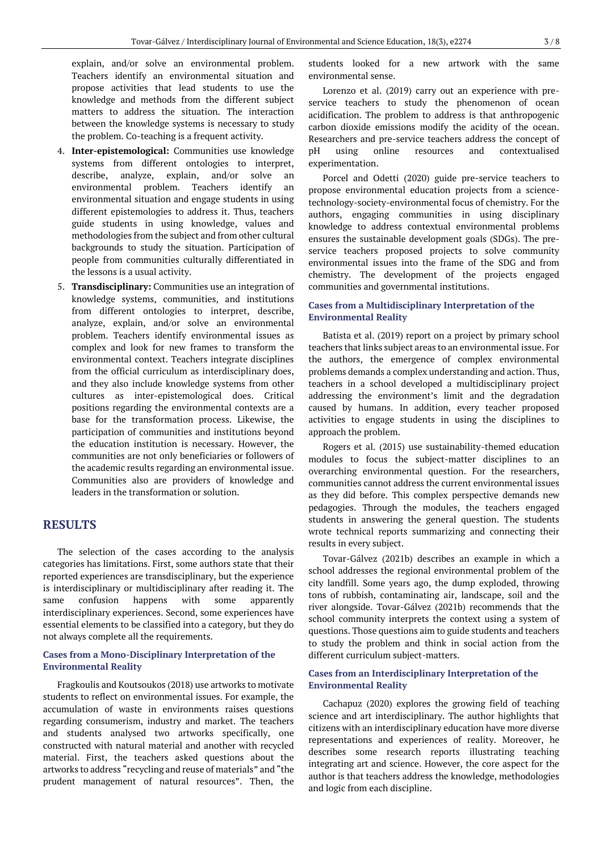explain, and/or solve an environmental problem. Teachers identify an environmental situation and propose activities that lead students to use the knowledge and methods from the different subject matters to address the situation. The interaction between the knowledge systems is necessary to study the problem. Co-teaching is a frequent activity.

- 4. **Inter-epistemological:** Communities use knowledge systems from different ontologies to interpret, describe, analyze, explain, and/or solve an environmental problem. Teachers identify an environmental situation and engage students in using different epistemologies to address it. Thus, teachers guide students in using knowledge, values and methodologies from the subject and from other cultural backgrounds to study the situation. Participation of people from communities culturally differentiated in the lessons is a usual activity.
- 5. **Transdisciplinary:** Communities use an integration of knowledge systems, communities, and institutions from different ontologies to interpret, describe, analyze, explain, and/or solve an environmental problem. Teachers identify environmental issues as complex and look for new frames to transform the environmental context. Teachers integrate disciplines from the official curriculum as interdisciplinary does, and they also include knowledge systems from other cultures as inter-epistemological does. Critical positions regarding the environmental contexts are a base for the transformation process. Likewise, the participation of communities and institutions beyond the education institution is necessary. However, the communities are not only beneficiaries or followers of the academic results regarding an environmental issue. Communities also are providers of knowledge and leaders in the transformation or solution.

## **RESULTS**

The selection of the cases according to the analysis categories has limitations. First, some authors state that their reported experiences are transdisciplinary, but the experience is interdisciplinary or multidisciplinary after reading it. The same confusion happens with some apparently interdisciplinary experiences. Second, some experiences have essential elements to be classified into a category, but they do not always complete all the requirements.

#### **Cases from a Mono-Disciplinary Interpretation of the Environmental Reality**

Fragkoulis and Koutsoukos (2018) use artworks to motivate students to reflect on environmental issues. For example, the accumulation of waste in environments raises questions regarding consumerism, industry and market. The teachers and students analysed two artworks specifically, one constructed with natural material and another with recycled material. First, the teachers asked questions about the artworks to address "recycling and reuse of materials" and "the prudent management of natural resources". Then, the

students looked for a new artwork with the same environmental sense.

Lorenzo et al. (2019) carry out an experience with preservice teachers to study the phenomenon of ocean acidification. The problem to address is that anthropogenic carbon dioxide emissions modify the acidity of the ocean. Researchers and pre-service teachers address the concept of pH using online resources and contextualised experimentation.

Porcel and Odetti (2020) guide pre-service teachers to propose environmental education projects from a sciencetechnology-society-environmental focus of chemistry. For the authors, engaging communities in using disciplinary knowledge to address contextual environmental problems ensures the sustainable development goals (SDGs). The preservice teachers proposed projects to solve community environmental issues into the frame of the SDG and from chemistry. The development of the projects engaged communities and governmental institutions.

#### **Cases from a Multidisciplinary Interpretation of the Environmental Reality**

Batista et al. (2019) report on a project by primary school teachers that links subject areas to an environmental issue. For the authors, the emergence of complex environmental problems demands a complex understanding and action. Thus, teachers in a school developed a multidisciplinary project addressing the environment's limit and the degradation caused by humans. In addition, every teacher proposed activities to engage students in using the disciplines to approach the problem.

Rogers et al. (2015) use sustainability-themed education modules to focus the subject-matter disciplines to an overarching environmental question. For the researchers, communities cannot address the current environmental issues as they did before. This complex perspective demands new pedagogies. Through the modules, the teachers engaged students in answering the general question. The students wrote technical reports summarizing and connecting their results in every subject.

Tovar-Gálvez (2021b) describes an example in which a school addresses the regional environmental problem of the city landfill. Some years ago, the dump exploded, throwing tons of rubbish, contaminating air, landscape, soil and the river alongside. Tovar-Gálvez (2021b) recommends that the school community interprets the context using a system of questions. Those questions aim to guide students and teachers to study the problem and think in social action from the different curriculum subject-matters.

#### **Cases from an Interdisciplinary Interpretation of the Environmental Reality**

Cachapuz (2020) explores the growing field of teaching science and art interdisciplinary. The author highlights that citizens with an interdisciplinary education have more diverse representations and experiences of reality. Moreover, he describes some research reports illustrating teaching integrating art and science. However, the core aspect for the author is that teachers address the knowledge, methodologies and logic from each discipline.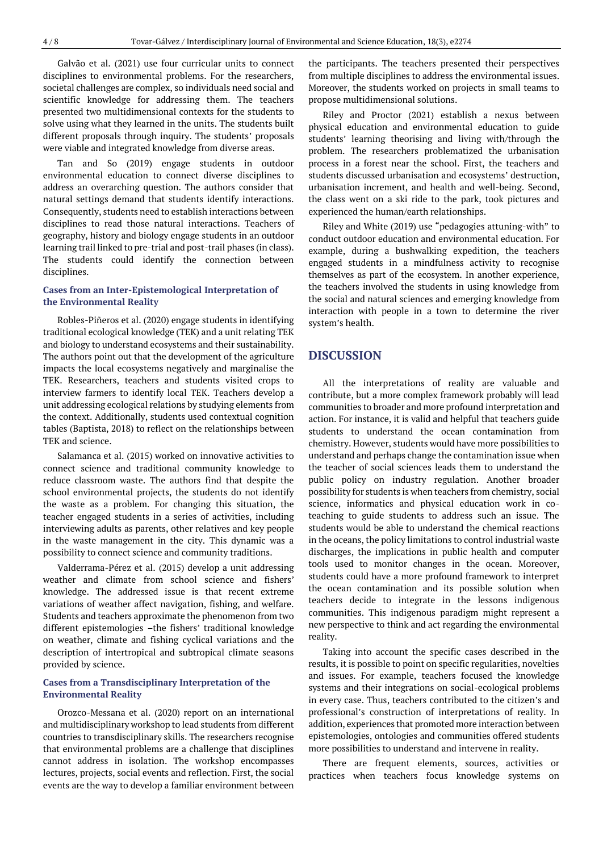Galvão et al. (2021) use four curricular units to connect disciplines to environmental problems. For the researchers, societal challenges are complex, so individuals need social and scientific knowledge for addressing them. The teachers presented two multidimensional contexts for the students to solve using what they learned in the units. The students built different proposals through inquiry. The students' proposals were viable and integrated knowledge from diverse areas.

Tan and So (2019) engage students in outdoor environmental education to connect diverse disciplines to address an overarching question. The authors consider that natural settings demand that students identify interactions. Consequently, students need to establish interactions between disciplines to read those natural interactions. Teachers of geography, history and biology engage students in an outdoor learning trail linked to pre-trial and post-trail phases (in class). The students could identify the connection between disciplines.

#### **Cases from an Inter-Epistemological Interpretation of the Environmental Reality**

Robles-Piñeros et al. (2020) engage students in identifying traditional ecological knowledge (TEK) and a unit relating TEK and biology to understand ecosystems and their sustainability. The authors point out that the development of the agriculture impacts the local ecosystems negatively and marginalise the TEK. Researchers, teachers and students visited crops to interview farmers to identify local TEK. Teachers develop a unit addressing ecological relations by studying elements from the context. Additionally, students used contextual cognition tables (Baptista, 2018) to reflect on the relationships between TEK and science.

Salamanca et al. (2015) worked on innovative activities to connect science and traditional community knowledge to reduce classroom waste. The authors find that despite the school environmental projects, the students do not identify the waste as a problem. For changing this situation, the teacher engaged students in a series of activities, including interviewing adults as parents, other relatives and key people in the waste management in the city. This dynamic was a possibility to connect science and community traditions.

Valderrama-Pérez et al. (2015) develop a unit addressing weather and climate from school science and fishers' knowledge. The addressed issue is that recent extreme variations of weather affect navigation, fishing, and welfare. Students and teachers approximate the phenomenon from two different epistemologies –the fishers' traditional knowledge on weather, climate and fishing cyclical variations and the description of intertropical and subtropical climate seasons provided by science.

#### **Cases from a Transdisciplinary Interpretation of the Environmental Reality**

Orozco-Messana et al. (2020) report on an international and multidisciplinary workshop to lead students from different countries to transdisciplinary skills. The researchers recognise that environmental problems are a challenge that disciplines cannot address in isolation. The workshop encompasses lectures, projects, social events and reflection. First, the social events are the way to develop a familiar environment between

the participants. The teachers presented their perspectives from multiple disciplines to address the environmental issues. Moreover, the students worked on projects in small teams to propose multidimensional solutions.

Riley and Proctor (2021) establish a nexus between physical education and environmental education to guide students' learning theorising and living with/through the problem. The researchers problematized the urbanisation process in a forest near the school. First, the teachers and students discussed urbanisation and ecosystems' destruction, urbanisation increment, and health and well-being. Second, the class went on a ski ride to the park, took pictures and experienced the human/earth relationships.

Riley and White (2019) use "pedagogies attuning-with" to conduct outdoor education and environmental education. For example, during a bushwalking expedition, the teachers engaged students in a mindfulness activity to recognise themselves as part of the ecosystem. In another experience, the teachers involved the students in using knowledge from the social and natural sciences and emerging knowledge from interaction with people in a town to determine the river system's health.

## **DISCUSSION**

All the interpretations of reality are valuable and contribute, but a more complex framework probably will lead communities to broader and more profound interpretation and action. For instance, it is valid and helpful that teachers guide students to understand the ocean contamination from chemistry. However, students would have more possibilities to understand and perhaps change the contamination issue when the teacher of social sciences leads them to understand the public policy on industry regulation. Another broader possibility for students is when teachers from chemistry, social science, informatics and physical education work in coteaching to guide students to address such an issue. The students would be able to understand the chemical reactions in the oceans, the policy limitations to control industrial waste discharges, the implications in public health and computer tools used to monitor changes in the ocean. Moreover, students could have a more profound framework to interpret the ocean contamination and its possible solution when teachers decide to integrate in the lessons indigenous communities. This indigenous paradigm might represent a new perspective to think and act regarding the environmental reality.

Taking into account the specific cases described in the results, it is possible to point on specific regularities, novelties and issues. For example, teachers focused the knowledge systems and their integrations on social-ecological problems in every case. Thus, teachers contributed to the citizen's and professional's construction of interpretations of reality. In addition, experiences that promoted more interaction between epistemologies, ontologies and communities offered students more possibilities to understand and intervene in reality.

There are frequent elements, sources, activities or practices when teachers focus knowledge systems on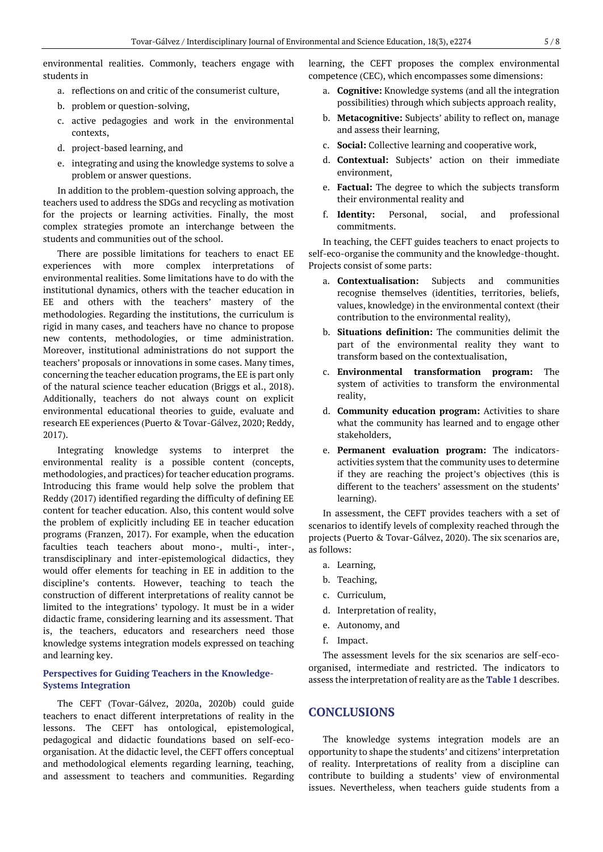environmental realities. Commonly, teachers engage with students in

- a. reflections on and critic of the consumerist culture,
- b. problem or question-solving,
- c. active pedagogies and work in the environmental contexts,
- d. project-based learning, and
- e. integrating and using the knowledge systems to solve a problem or answer questions.

In addition to the problem-question solving approach, the teachers used to address the SDGs and recycling as motivation for the projects or learning activities. Finally, the most complex strategies promote an interchange between the students and communities out of the school.

There are possible limitations for teachers to enact EE experiences with more complex interpretations of environmental realities. Some limitations have to do with the institutional dynamics, others with the teacher education in EE and others with the teachers' mastery of the methodologies. Regarding the institutions, the curriculum is rigid in many cases, and teachers have no chance to propose new contents, methodologies, or time administration. Moreover, institutional administrations do not support the teachers' proposals or innovations in some cases. Many times, concerning the teacher education programs, the EE is part only of the natural science teacher education (Briggs et al., 2018). Additionally, teachers do not always count on explicit environmental educational theories to guide, evaluate and research EE experiences (Puerto & Tovar-Gálvez, 2020; Reddy, 2017).

Integrating knowledge systems to interpret the environmental reality is a possible content (concepts, methodologies, and practices) for teacher education programs. Introducing this frame would help solve the problem that Reddy (2017) identified regarding the difficulty of defining EE content for teacher education. Also, this content would solve the problem of explicitly including EE in teacher education programs (Franzen, 2017). For example, when the education faculties teach teachers about mono-, multi-, inter-, transdisciplinary and inter-epistemological didactics, they would offer elements for teaching in EE in addition to the discipline's contents. However, teaching to teach the construction of different interpretations of reality cannot be limited to the integrations' typology. It must be in a wider didactic frame, considering learning and its assessment. That is, the teachers, educators and researchers need those knowledge systems integration models expressed on teaching and learning key.

### **Perspectives for Guiding Teachers in the Knowledge-Systems Integration**

The CEFT (Tovar-Gálvez, 2020a, 2020b) could guide teachers to enact different interpretations of reality in the lessons. The CEFT has ontological, epistemological, pedagogical and didactic foundations based on self-ecoorganisation. At the didactic level, the CEFT offers conceptual and methodological elements regarding learning, teaching, and assessment to teachers and communities. Regarding learning, the CEFT proposes the complex environmental competence (CEC), which encompasses some dimensions:

- a. **Cognitive:** Knowledge systems (and all the integration possibilities) through which subjects approach reality,
- b. **Metacognitive:** Subjects' ability to reflect on, manage and assess their learning,
- c. **Social:** Collective learning and cooperative work,
- d. **Contextual:** Subjects' action on their immediate environment,
- e. **Factual:** The degree to which the subjects transform their environmental reality and
- f. **Identity:** Personal, social, and professional commitments.

In teaching, the CEFT guides teachers to enact projects to self-eco-organise the community and the knowledge-thought. Projects consist of some parts:

- a. **Contextualisation:** Subjects and communities recognise themselves (identities, territories, beliefs, values, knowledge) in the environmental context (their contribution to the environmental reality),
- b. **Situations definition:** The communities delimit the part of the environmental reality they want to transform based on the contextualisation,
- c. **Environmental transformation program:** The system of activities to transform the environmental reality,
- d. **Community education program:** Activities to share what the community has learned and to engage other stakeholders,
- e. **Permanent evaluation program:** The indicatorsactivities system that the community uses to determine if they are reaching the project's objectives (this is different to the teachers' assessment on the students' learning).

In assessment, the CEFT provides teachers with a set of scenarios to identify levels of complexity reached through the projects (Puerto & Tovar-Gálvez, 2020). The six scenarios are, as follows:

- a. Learning,
- b. Teaching,
- c. Curriculum,
- d. Interpretation of reality,
- e. Autonomy, and
- f. Impact.

The assessment levels for the six scenarios are self-ecoorganised, intermediate and restricted. The indicators to assess the interpretation of reality are as the **Table 1** describes.

## **CONCLUSIONS**

The knowledge systems integration models are an opportunity to shape the students' and citizens' interpretation of reality. Interpretations of reality from a discipline can contribute to building a students' view of environmental issues. Nevertheless, when teachers guide students from a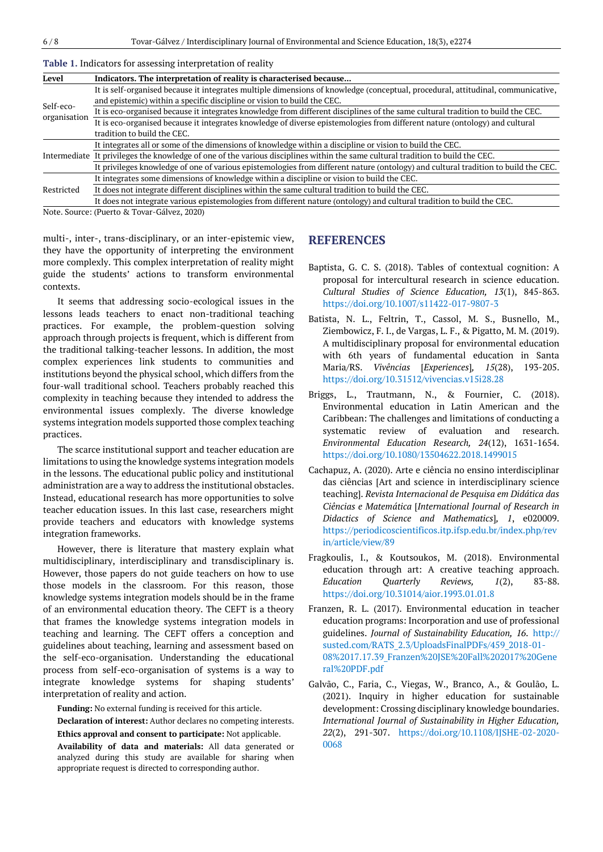| Level                     | Indicators. The interpretation of reality is characterised because                                                                                                                                          |
|---------------------------|-------------------------------------------------------------------------------------------------------------------------------------------------------------------------------------------------------------|
| Self-eco-<br>organisation | It is self-organised because it integrates multiple dimensions of knowledge (conceptual, procedural, attitudinal, communicative,<br>and epistemic) within a specific discipline or vision to build the CEC. |
|                           | It is eco-organised because it integrates knowledge from different disciplines of the same cultural tradition to build the CEC.                                                                             |
|                           | It is eco-organised because it integrates knowledge of diverse epistemologies from different nature (ontology) and cultural<br>tradition to build the CEC.                                                  |
|                           | It integrates all or some of the dimensions of knowledge within a discipline or vision to build the CEC.                                                                                                    |
|                           | Intermediate It privileges the knowledge of one of the various disciplines within the same cultural tradition to build the CEC.                                                                             |
|                           | It privileges knowledge of one of various epistemologies from different nature (ontology) and cultural tradition to build the CEC.                                                                          |
| Restricted                | It integrates some dimensions of knowledge within a discipline or vision to build the CEC.                                                                                                                  |
|                           | It does not integrate different disciplines within the same cultural tradition to build the CEC.                                                                                                            |
|                           | It does not integrate various epistemologies from different nature (ontology) and cultural tradition to build the CEC.                                                                                      |
|                           |                                                                                                                                                                                                             |

**Table 1.** Indicators for assessing interpretation of reality

Note. Source: (Puerto & Tovar-Gálvez, 2020)

multi-, inter-, trans-disciplinary, or an inter-epistemic view, they have the opportunity of interpreting the environment more complexly. This complex interpretation of reality might guide the students' actions to transform environmental contexts.

It seems that addressing socio-ecological issues in the lessons leads teachers to enact non-traditional teaching practices. For example, the problem-question solving approach through projects is frequent, which is different from the traditional talking-teacher lessons. In addition, the most complex experiences link students to communities and institutions beyond the physical school, which differs from the four-wall traditional school. Teachers probably reached this complexity in teaching because they intended to address the environmental issues complexly. The diverse knowledge systems integration models supported those complex teaching practices.

The scarce institutional support and teacher education are limitations to using the knowledge systems integration models in the lessons. The educational public policy and institutional administration are a way to address the institutional obstacles. Instead, educational research has more opportunities to solve teacher education issues. In this last case, researchers might provide teachers and educators with knowledge systems integration frameworks.

However, there is literature that mastery explain what multidisciplinary, interdisciplinary and transdisciplinary is. However, those papers do not guide teachers on how to use those models in the classroom. For this reason, those knowledge systems integration models should be in the frame of an environmental education theory. The CEFT is a theory that frames the knowledge systems integration models in teaching and learning. The CEFT offers a conception and guidelines about teaching, learning and assessment based on the self-eco-organisation. Understanding the educational process from self-eco-organisation of systems is a way to integrate knowledge systems for shaping students' interpretation of reality and action.

**Funding:** No external funding is received for this article.

appropriate request is directed to corresponding author.

**Declaration of interest:** Author declares no competing interests. **Ethics approval and consent to participate:** Not applicable.

**Availability of data and materials:** All data generated or analyzed during this study are available for sharing when

#### **REFERENCES**

- Baptista, G. C. S. (2018). Tables of contextual cognition: A proposal for intercultural research in science education. *Cultural Studies of Science Education, 13*(1), 845-863. <https://doi.org/10.1007/s11422-017-9807-3>
- Batista, N. L., Feltrin, T., Cassol, M. S., Busnello, M., Ziembowicz, F. I., de Vargas, L. F., & Pigatto, M. M. (2019). A multidisciplinary proposal for environmental education with 6th years of fundamental education in Santa Maria/RS. *Vivências* [*Experiences*]*, 15*(28), 193-205. <https://doi.org/10.31512/vivencias.v15i28.28>
- Briggs, L., Trautmann, N., & Fournier, C. (2018). Environmental education in Latin American and the Caribbean: The challenges and limitations of conducting a systematic review of evaluation and research. *Environmental Education Research, 24*(12), 1631-1654. <https://doi.org/10.1080/13504622.2018.1499015>
- Cachapuz, A. (2020). Arte e ciência no ensino interdisciplinar das ciências [Art and science in interdisciplinary science teaching]. *Revista Internacional de Pesquisa em Didática das Ciências e Matemática* [*International Journal of Research in Didactics of Science and Mathematics*]*, 1*, e020009. [https://periodicoscientificos.itp.ifsp.edu.br/index.php/rev](https://periodicoscientificos.itp.ifsp.edu.br/index.php/revin/article/view/89) [in/article/view/89](https://periodicoscientificos.itp.ifsp.edu.br/index.php/revin/article/view/89)
- Fragkoulis, I., & Koutsoukos, M. (2018). Environmental education through art: A creative teaching approach. *Education Quarterly Reviews, 1*(2), 83-88. <https://doi.org/10.31014/aior.1993.01.01.8>
- Franzen, R. L. (2017). Environmental education in teacher education programs: Incorporation and use of professional guidelines. *Journal of Sustainability Education, 16*. [http://](http://susted.com/RATS_2.3/UploadsFinalPDFs/459_2018-01-08%2017.17.39_Franzen%20JSE%20Fall%202017%20General%20PDF.pdf) [susted.com/RATS\\_2.3/UploadsFinalPDFs/459\\_2018-01-](http://susted.com/RATS_2.3/UploadsFinalPDFs/459_2018-01-08%2017.17.39_Franzen%20JSE%20Fall%202017%20General%20PDF.pdf) [08%2017.17.39\\_Franzen%20JSE%20Fall%202017%20Gene](http://susted.com/RATS_2.3/UploadsFinalPDFs/459_2018-01-08%2017.17.39_Franzen%20JSE%20Fall%202017%20General%20PDF.pdf) [ral%20PDF.pdf](http://susted.com/RATS_2.3/UploadsFinalPDFs/459_2018-01-08%2017.17.39_Franzen%20JSE%20Fall%202017%20General%20PDF.pdf)
- Galvão, C., Faria, C., Viegas, W., Branco, A., & Goulão, L. (2021). Inquiry in higher education for sustainable development: Crossing disciplinary knowledge boundaries. *International Journal of Sustainability in Higher Education, 22*(2), 291-307. [https://doi.org/10.1108/IJSHE-02-2020-](https://doi.org/10.1108/IJSHE-02-2020-0068) [0068](https://doi.org/10.1108/IJSHE-02-2020-0068)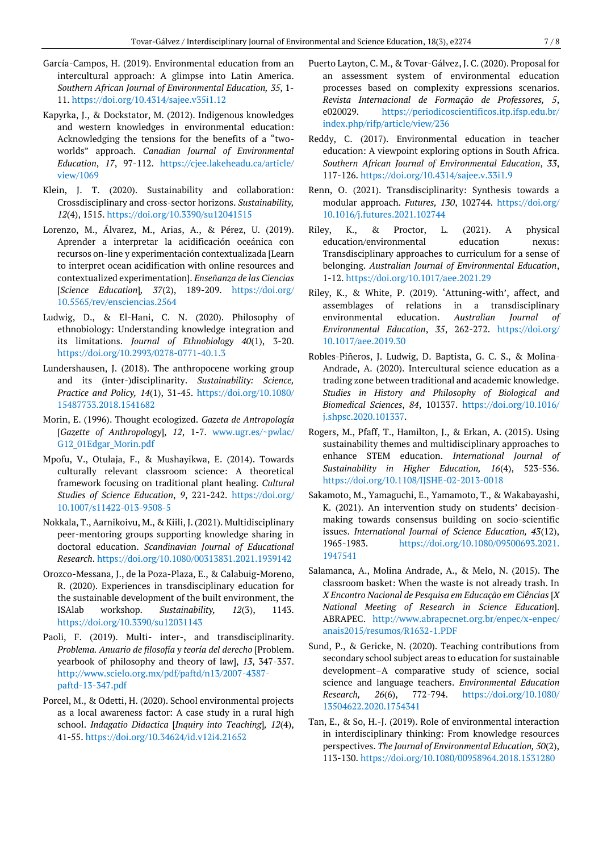- García-Campos, H. (2019). Environmental education from an intercultural approach: A glimpse into Latin America. *Southern African Journal of Environmental Education, 35*, 1- 11.<https://doi.org/10.4314/sajee.v35i1.12>
- Kapyrka, J., & Dockstator, M. (2012). Indigenous knowledges and western knowledges in environmental education: Acknowledging the tensions for the benefits of a "twoworlds" approach. *Canadian Journal of Environmental Education*, *17*, 97-112. [https://cjee.lakeheadu.ca/article/](https://cjee.lakeheadu.ca/article/view/1069) [view/1069](https://cjee.lakeheadu.ca/article/view/1069)
- Klein, J. T. (2020). Sustainability and collaboration: Crossdisciplinary and cross-sector horizons. *Sustainability, 12*(4), 1515.<https://doi.org/10.3390/su12041515>
- Lorenzo, M., Álvarez, M., Arias, A., & Pérez, U. (2019). Aprender a interpretar la acidificación oceánica con recursos on-line y experimentación contextualizada [Learn to interpret ocean acidification with online resources and contextualized experimentation]. *Enseñanza de las Ciencias* [*Science Education*]*, 37*(2), 189-209. [https://doi.org/](https://doi.org/10.5565/rev/ensciencias.2564) [10.5565/rev/ensciencias.2564](https://doi.org/10.5565/rev/ensciencias.2564)
- Ludwig, D., & El-Hani, C. N. (2020). Philosophy of ethnobiology: Understanding knowledge integration and its limitations. *Journal of Ethnobiology 40*(1), 3-20. <https://doi.org/10.2993/0278-0771-40.1.3>
- Lundershausen, J. (2018). The anthropocene working group and its (inter-)disciplinarity. *Sustainability: Science, Practice and Policy, 14*(1), 31-45. [https://doi.org/10.1080/](https://doi.org/10.1080/15487733.2018.1541682) [15487733.2018.1541682](https://doi.org/10.1080/15487733.2018.1541682)
- Morin, E. (1996). Thought ecologized. *Gazeta de Antropología* [*Gazette of Anthropology*], *12*, 1-7. [www.ugr.es/~pwlac/](http://www.ugr.es/~pwlac/G12_01Edgar_Morin.pdf) [G12\\_01Edgar\\_Morin.pdf](http://www.ugr.es/~pwlac/G12_01Edgar_Morin.pdf)
- Mpofu, V., Otulaja, F., & Mushayikwa, E. (2014). Towards culturally relevant classroom science: A theoretical framework focusing on traditional plant healing*. Cultural Studies of Science Education*, *9*, 221-242. [https://doi.org/](https://doi.org/10.1007/s11422-013-9508-5) [10.1007/s11422-013-9508-5](https://doi.org/10.1007/s11422-013-9508-5)
- Nokkala, T., Aarnikoivu, M., & Kiili, J. (2021). Multidisciplinary peer-mentoring groups supporting knowledge sharing in doctoral education. *Scandinavian Journal of Educational Research*. <https://doi.org/10.1080/00313831.2021.1939142>
- Orozco-Messana, J., de la Poza-Plaza, E., & Calabuig-Moreno, R. (2020). Experiences in transdisciplinary education for the sustainable development of the built environment, the ISAlab workshop. *Sustainability, 12*(3), 1143. <https://doi.org/10.3390/su12031143>
- Paoli, F. (2019). Multi- inter-, and transdisciplinarity. *Problema. Anuario de filosofía y teoría del derecho* [Problem. yearbook of philosophy and theory of law], *13*, 347-357. [http://www.scielo.org.mx/pdf/paftd/n13/2007-4387](http://www.scielo.org.mx/pdf/paftd/n13/2007-4387-paftd-13-347.pdf) [paftd-13-347.pdf](http://www.scielo.org.mx/pdf/paftd/n13/2007-4387-paftd-13-347.pdf)
- Porcel, M., & Odetti, H. (2020). School environmental projects as a local awareness factor: A case study in a rural high school. *Indagatio Didactica* [*Inquiry into Teaching*]*, 12*(4), 41-55[. https://doi.org/10.34624/id.v12i4.21652](https://doi.org/10.34624/id.v12i4.21652)
- Puerto Layton, C. M., & Tovar-Gálvez, J. C. (2020). Proposal for an assessment system of environmental education processes based on complexity expressions scenarios. *Revista Internacional de Formação de Professores, 5*, e020029. [https://periodicoscientificos.itp.ifsp.edu.br/](https://periodicoscientificos.itp.ifsp.edu.br/index.php/rifp/article/view/236) [index.php/rifp/article/view/236](https://periodicoscientificos.itp.ifsp.edu.br/index.php/rifp/article/view/236)
- Reddy, C. (2017). Environmental education in teacher education: A viewpoint exploring options in South Africa*. Southern African Journal of Environmental Education*, *33*, 117-126[. https://doi.org/10.4314/sajee.v.33i1.9](https://doi.org/10.4314/sajee.v.33i1.9)
- Renn, O. (2021). Transdisciplinarity: Synthesis towards a modular approach. *Futures, 130*, 102744. [https://doi.org/](https://doi.org/10.1016/j.futures.2021.102744) [10.1016/j.futures.2021.102744](https://doi.org/10.1016/j.futures.2021.102744)
- Riley, K., & Proctor, L. (2021). A physical education/environmental education nexus: Transdisciplinary approaches to curriculum for a sense of belonging. *Australian Journal of Environmental Education*, 1-12.<https://doi.org/10.1017/aee.2021.29>
- Riley, K., & White, P. (2019). 'Attuning-with', affect, and assemblages of relations in a transdisciplinary environmental education. *Australian Journal of Environmental Education*, *35*, 262-272. [https://doi.org/](https://doi.org/10.1017/aee.2019.30) [10.1017/aee.2019.30](https://doi.org/10.1017/aee.2019.30)
- Robles-Piñeros, J. Ludwig, D. Baptista, G. C. S., & Molina-Andrade, A. (2020). Intercultural science education as a trading zone between traditional and academic knowledge. *Studies in History and Philosophy of Biological and Biomedical Sciences*, *84*, 101337. [https://doi.org/10.1016/](https://doi.org/10.1016/j.shpsc.2020.101337) [j.shpsc.2020.101337.](https://doi.org/10.1016/j.shpsc.2020.101337)
- Rogers, M., Pfaff, T., Hamilton, J., & Erkan, A. (2015). Using sustainability themes and multidisciplinary approaches to enhance STEM education. *International Journal of Sustainability in Higher Education, 16*(4), 523-536. <https://doi.org/10.1108/IJSHE-02-2013-0018>
- Sakamoto, M., Yamaguchi, E., Yamamoto, T., & Wakabayashi, K. (2021). An intervention study on students' decisionmaking towards consensus building on socio-scientific issues. *International Journal of Science Education, 43*(12), 1965-1983. [https://doi.org/10.1080/09500693.2021.](https://doi.org/10.1080/09500693.2021.1947541) [1947541](https://doi.org/10.1080/09500693.2021.1947541)
- Salamanca, A., Molina Andrade, A., & Melo, N. (2015). The classroom basket: When the waste is not already trash. In *X Encontro Nacional de Pesquisa em Educação em Ciências* [*X National Meeting of Research in Science Education*]. ABRAPEC. [http://www.abrapecnet.org.br/enpec/x-enpec/](http://www.abrapecnet.org.br/enpec/x-enpec/anais2015/resumos/R1632-1.PDF) [anais2015/resumos/R1632-1.PDF](http://www.abrapecnet.org.br/enpec/x-enpec/anais2015/resumos/R1632-1.PDF)
- Sund, P., & Gericke, N. (2020). Teaching contributions from secondary school subject areas to education for sustainable development–A comparative study of science, social science and language teachers. *Environmental Education Research, 26*(6), 772-794. [https://doi.org/10.1080/](https://doi.org/10.1080/13504622.2020.1754341) [13504622.2020.1754341](https://doi.org/10.1080/13504622.2020.1754341)
- Tan, E., & So, H.-J. (2019). Role of environmental interaction in interdisciplinary thinking: From knowledge resources perspectives. *The Journal of Environmental Education, 50*(2), 113-130[. https://doi.org/10.1080/00958964.2018.1531280](https://doi.org/10.1080/00958964.2018.1531280)